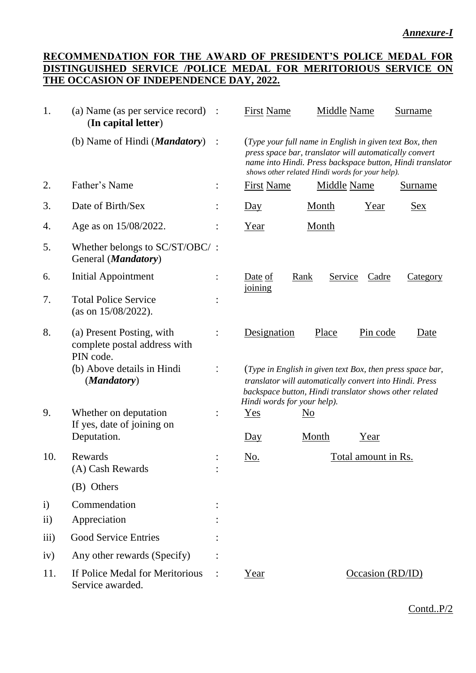## **RECOMMENDATION FOR THE AWARD OF PRESIDENT'S POLICE MEDAL FOR DISTINGUISHED SERVICE /POLICE MEDAL FOR MERITORIOUS SERVICE ON THE OCCASION OF INDEPENDENCE DAY, 2022.**

| 1.           | (a) Name (as per service record)<br>(In capital letter)                | $\mathbf{L}$ | <b>First Name</b>                                                                                                                                                                                             |                        | <b>Middle Name</b>      | <b>Surname</b>                                            |
|--------------|------------------------------------------------------------------------|--------------|---------------------------------------------------------------------------------------------------------------------------------------------------------------------------------------------------------------|------------------------|-------------------------|-----------------------------------------------------------|
|              | (b) Name of Hindi ( <i>Mandatory</i> )                                 |              | (Type your full name in English in given text Box, then<br>press space bar, translator will automatically convert<br>shows other related Hindi words for your help).                                          |                        |                         | name into Hindi. Press backspace button, Hindi translator |
| 2.           | Father's Name                                                          |              | <b>First Name</b>                                                                                                                                                                                             |                        | <b>Middle Name</b>      | Surname                                                   |
| 3.           | Date of Birth/Sex                                                      |              | $\underline{Day}$                                                                                                                                                                                             | Month                  | Year                    | <u>Sex</u>                                                |
| 4.           | Age as on 15/08/2022.                                                  |              | Year                                                                                                                                                                                                          | Month                  |                         |                                                           |
| 5.           | Whether belongs to SC/ST/OBC/:<br>General ( <i>Mandatory</i> )         |              |                                                                                                                                                                                                               |                        |                         |                                                           |
| 6.           | <b>Initial Appointment</b>                                             |              | Date of<br>joining                                                                                                                                                                                            | <u>Rank</u>            | <u>Service</u><br>Cadre | <u>Category</u>                                           |
| 7.           | <b>Total Police Service</b><br>(as on $15/08/2022$ ).                  |              |                                                                                                                                                                                                               |                        |                         |                                                           |
| 8.           | (a) Present Posting, with<br>complete postal address with<br>PIN code. |              | Designation                                                                                                                                                                                                   | Place                  | Pin code                | Date                                                      |
|              | (b) Above details in Hindi<br>(Mandatory)                              |              | (Type in English in given text Box, then press space bar,<br>translator will automatically convert into Hindi. Press<br>backspace button, Hindi translator shows other related<br>Hindi words for your help). |                        |                         |                                                           |
| 9.           | Whether on deputation                                                  |              | Yes                                                                                                                                                                                                           | $\overline{\text{No}}$ |                         |                                                           |
|              | If yes, date of joining on<br>Deputation.                              |              | $\overline{Day}$                                                                                                                                                                                              | Month                  | Year                    |                                                           |
| 10.          | Rewards<br>(A) Cash Rewards                                            |              | <u>No.</u>                                                                                                                                                                                                    |                        | Total amount in Rs.     |                                                           |
|              | (B) Others                                                             |              |                                                                                                                                                                                                               |                        |                         |                                                           |
| $\mathbf{i}$ | Commendation                                                           |              |                                                                                                                                                                                                               |                        |                         |                                                           |
| $\rm ii)$    | Appreciation                                                           |              |                                                                                                                                                                                                               |                        |                         |                                                           |
| iii)         | <b>Good Service Entries</b>                                            |              |                                                                                                                                                                                                               |                        |                         |                                                           |
| iv)          | Any other rewards (Specify)                                            |              |                                                                                                                                                                                                               |                        |                         |                                                           |
| 11.          | If Police Medal for Meritorious<br>Service awarded.                    |              | Year                                                                                                                                                                                                          |                        | Occasion (RD/ID)        |                                                           |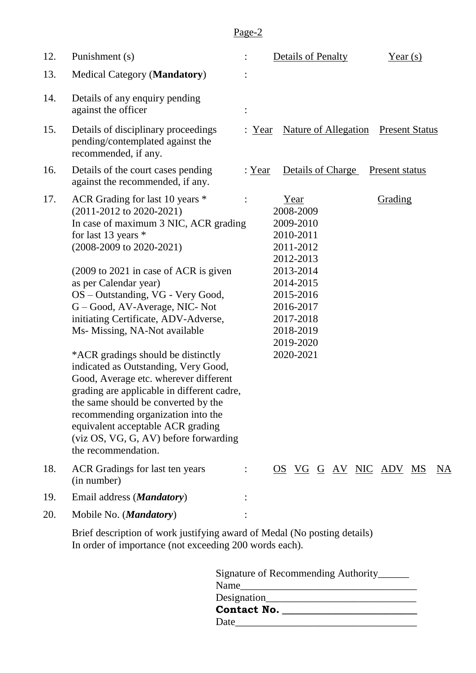# Page-2

| 12. | Punishment (s)                                                                                                                                                                                                                                                                                                                                                                                                                                                                                                                                                                                                                                                                                                                                    |                | <b>Details of Penalty</b><br>Year $(s)$                                                                                                                                                  |
|-----|---------------------------------------------------------------------------------------------------------------------------------------------------------------------------------------------------------------------------------------------------------------------------------------------------------------------------------------------------------------------------------------------------------------------------------------------------------------------------------------------------------------------------------------------------------------------------------------------------------------------------------------------------------------------------------------------------------------------------------------------------|----------------|------------------------------------------------------------------------------------------------------------------------------------------------------------------------------------------|
| 13. | <b>Medical Category (Mandatory)</b>                                                                                                                                                                                                                                                                                                                                                                                                                                                                                                                                                                                                                                                                                                               |                |                                                                                                                                                                                          |
| 14. | Details of any enquiry pending<br>against the officer                                                                                                                                                                                                                                                                                                                                                                                                                                                                                                                                                                                                                                                                                             | $\ddot{\cdot}$ |                                                                                                                                                                                          |
| 15. | Details of disciplinary proceedings<br>pending/contemplated against the<br>recommended, if any.                                                                                                                                                                                                                                                                                                                                                                                                                                                                                                                                                                                                                                                   | Year           | <b>Nature of Allegation</b><br><b>Present Status</b>                                                                                                                                     |
| 16. | Details of the court cases pending<br>against the recommended, if any.                                                                                                                                                                                                                                                                                                                                                                                                                                                                                                                                                                                                                                                                            | : <u>Year</u>  | Details of Charge<br><b>Present status</b>                                                                                                                                               |
| 17. | ACR Grading for last 10 years *<br>$(2011-2012$ to $2020-2021)$<br>In case of maximum 3 NIC, ACR grading<br>for last 13 years $*$<br>$(2008-2009 \text{ to } 2020-2021)$<br>(2009 to 2021 in case of ACR is given<br>as per Calendar year)<br>OS - Outstanding, VG - Very Good,<br>G – Good, AV-Average, NIC- Not<br>initiating Certificate, ADV-Adverse,<br>Ms- Missing, NA-Not available<br>*ACR gradings should be distinctly<br>indicated as Outstanding, Very Good,<br>Good, Average etc. wherever different<br>grading are applicable in different cadre,<br>the same should be converted by the<br>recommending organization into the<br>equivalent acceptable ACR grading<br>(viz OS, VG, G, AV) before forwarding<br>the recommendation. |                | Year<br>Grading<br>2008-2009<br>2009-2010<br>2010-2011<br>2011-2012<br>2012-2013<br>2013-2014<br>2014-2015<br>2015-2016<br>2016-2017<br>2017-2018<br>2018-2019<br>2019-2020<br>2020-2021 |
| 18. | ACR Gradings for last ten years<br>(in number)                                                                                                                                                                                                                                                                                                                                                                                                                                                                                                                                                                                                                                                                                                    |                | <u>OS VG G AV NIC ADV MS</u><br><u>NA</u>                                                                                                                                                |
| 19. | Email address ( <i>Mandatory</i> )                                                                                                                                                                                                                                                                                                                                                                                                                                                                                                                                                                                                                                                                                                                |                |                                                                                                                                                                                          |
| 20. | Mobile No. ( <i>Mandatory</i> )                                                                                                                                                                                                                                                                                                                                                                                                                                                                                                                                                                                                                                                                                                                   |                |                                                                                                                                                                                          |
|     | Brief description of work justifying award of Medal (No posting details)                                                                                                                                                                                                                                                                                                                                                                                                                                                                                                                                                                                                                                                                          |                |                                                                                                                                                                                          |

In order of importance (not exceeding 200 words each).

| Signature of Recommending Authority_______ |  |
|--------------------------------------------|--|
| Name                                       |  |
| Designation                                |  |
| Contact No. ___                            |  |
| Date                                       |  |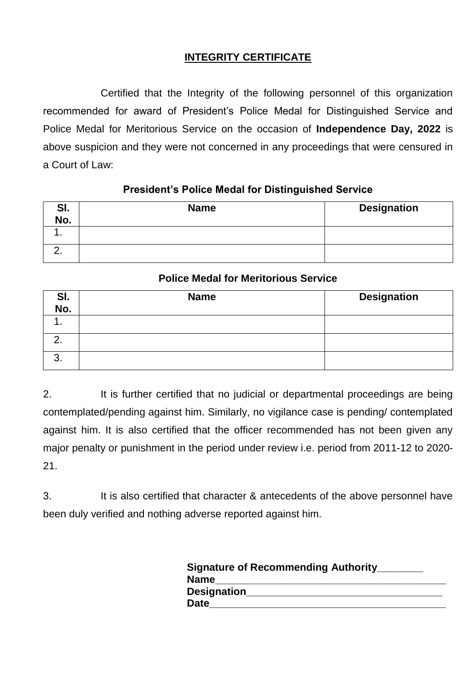# **INTEGRITY CERTIFICATE**

Certified that the Integrity of the following personnel of this organization recommended for award of President's Police Medal for Distinguished Service and Police Medal for Meritorious Service on the occasion of **Independence Day, 2022** is above suspicion and they were not concerned in any proceedings that were censured in a Court of Law:

# **President"s Police Medal for Distinguished Service**

| SI.         | <b>Name</b> | <b>Designation</b> |
|-------------|-------------|--------------------|
| No.         |             |                    |
|             |             |                    |
| <u>. . </u> |             |                    |

# **Police Medal for Meritorious Service**

| SI.<br>No.    | <b>Name</b> | <b>Designation</b> |
|---------------|-------------|--------------------|
|               |             |                    |
| ◠<br><u>.</u> |             |                    |
| ົ<br>J.       |             |                    |

2. It is further certified that no judicial or departmental proceedings are being contemplated/pending against him. Similarly, no vigilance case is pending/ contemplated against him. It is also certified that the officer recommended has not been given any major penalty or punishment in the period under review i.e. period from 2011-12 to 2020- 21.

3. It is also certified that character & antecedents of the above personnel have been duly verified and nothing adverse reported against him.

| <b>Signature of Recommending Authority</b> |
|--------------------------------------------|
| <b>Name</b>                                |
| Designation                                |
| <b>Date</b>                                |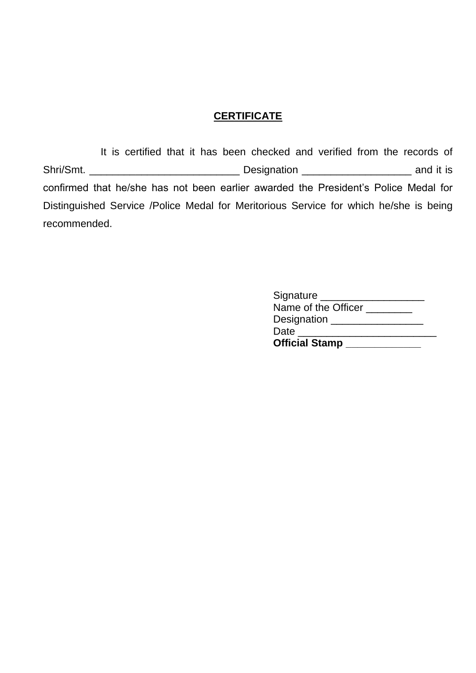## **CERTIFICATE**

It is certified that it has been checked and verified from the records of Shri/Smt. \_\_\_\_\_\_\_\_\_\_\_\_\_\_\_\_\_\_\_\_\_\_\_\_\_\_ Designation \_\_\_\_\_\_\_\_\_\_\_\_\_\_\_\_\_\_\_ and it is confirmed that he/she has not been earlier awarded the President's Police Medal for Distinguished Service /Police Medal for Meritorious Service for which he/she is being recommended.

| <b>Official Stamp</b> |  |
|-----------------------|--|
| Date                  |  |
| Designation _____     |  |
| Name of the Officer   |  |
| Signature             |  |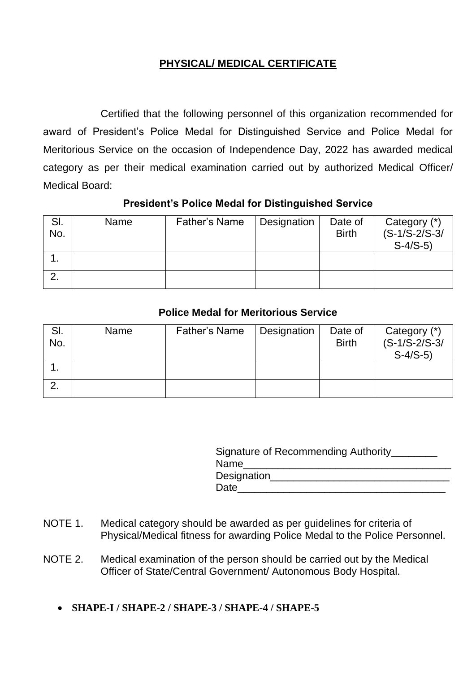# **PHYSICAL/ MEDICAL CERTIFICATE**

Certified that the following personnel of this organization recommended for award of President's Police Medal for Distinguished Service and Police Medal for Meritorious Service on the occasion of Independence Day, 2022 has awarded medical category as per their medical examination carried out by authorized Medical Officer/ Medical Board:

# **President"s Police Medal for Distinguished Service**

| SI.<br>No. | Name | <b>Father's Name</b> | Designation | Date of<br><b>Birth</b> | Category (*)<br>$(S-1/S-2/S-3/$<br>$S-4/S-5$ |
|------------|------|----------------------|-------------|-------------------------|----------------------------------------------|
|            |      |                      |             |                         |                                              |
|            |      |                      |             |                         |                                              |

# **Police Medal for Meritorious Service**

| SI.<br>No. | Name | Father's Name | Designation | Date of<br><b>Birth</b> | Category (*)<br>$(S-1/S-2/S-3/$<br>$S-4/S-5$ |
|------------|------|---------------|-------------|-------------------------|----------------------------------------------|
|            |      |               |             |                         |                                              |
|            |      |               |             |                         |                                              |

|             | Signature of Recommending Authority_______ |
|-------------|--------------------------------------------|
| Name        |                                            |
| Designation |                                            |
| Date        |                                            |

- NOTE 1. Medical category should be awarded as per guidelines for criteria of Physical/Medical fitness for awarding Police Medal to the Police Personnel.
- NOTE 2. Medical examination of the person should be carried out by the Medical Officer of State/Central Government/ Autonomous Body Hospital.
	- **SHAPE-I / SHAPE-2 / SHAPE-3 / SHAPE-4 / SHAPE-5**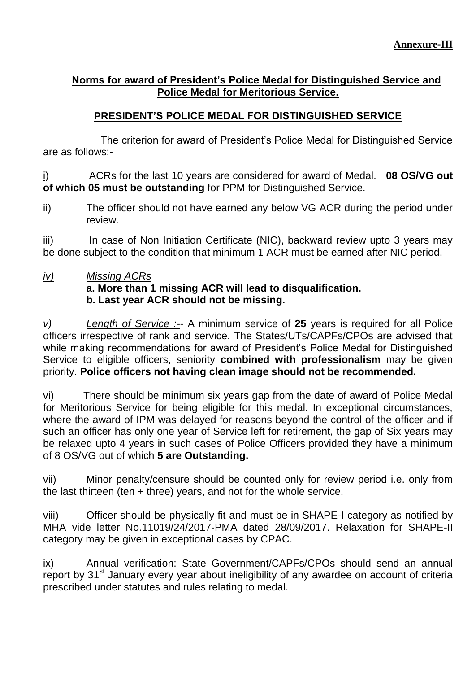# **Norms for award of President"s Police Medal for Distinguished Service and Police Medal for Meritorious Service.**

# **PRESIDENT"S POLICE MEDAL FOR DISTINGUISHED SERVICE**

The criterion for award of President's Police Medal for Distinguished Service are as follows:-

i)ACRs for the last 10 years are considered for award of Medal. **08 OS/VG out of which 05 must be outstanding** for PPM for Distinguished Service.

ii) The officer should not have earned any below VG ACR during the period under review.

iii) In case of Non Initiation Certificate (NIC), backward review upto 3 years may be done subject to the condition that minimum 1 ACR must be earned after NIC period.

*iv) Missing ACRs* **a. More than 1 missing ACR will lead to disqualification. b. Last year ACR should not be missing.** 

*v) Length of Service :-*- A minimum service of **25** years is required for all Police officers irrespective of rank and service. The States/UTs/CAPFs/CPOs are advised that while making recommendations for award of President's Police Medal for Distinguished Service to eligible officers, seniority **combined with professionalism** may be given priority. **Police officers not having clean image should not be recommended.**

vi) There should be minimum six years gap from the date of award of Police Medal for Meritorious Service for being eligible for this medal. In exceptional circumstances, where the award of IPM was delayed for reasons beyond the control of the officer and if such an officer has only one year of Service left for retirement, the gap of Six years may be relaxed upto 4 years in such cases of Police Officers provided they have a minimum of 8 OS/VG out of which **5 are Outstanding.**

vii) Minor penalty/censure should be counted only for review period i.e. only from the last thirteen (ten  $+$  three) years, and not for the whole service.

viii) Officer should be physically fit and must be in SHAPE-I category as notified by MHA vide letter No.11019/24/2017-PMA dated 28/09/2017. Relaxation for SHAPE-II category may be given in exceptional cases by CPAC.

ix) Annual verification: State Government/CAPFs/CPOs should send an annual report by  $31<sup>st</sup>$  January every year about ineligibility of any awardee on account of criteria prescribed under statutes and rules relating to medal.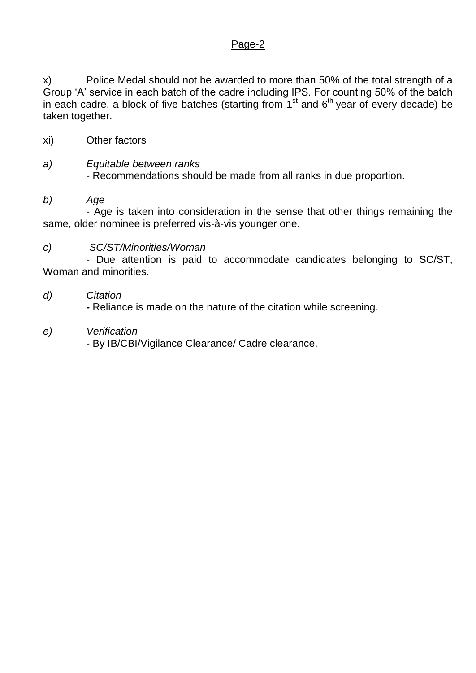# Page-2

x) Police Medal should not be awarded to more than 50% of the total strength of a Group 'A' service in each batch of the cadre including IPS. For counting 50% of the batch in each cadre, a block of five batches (starting from  $1<sup>st</sup>$  and  $6<sup>th</sup>$  year of every decade) be taken together.

xi) Other factors

#### *a) Equitable between ranks*  - Recommendations should be made from all ranks in due proportion.

## *b) Age*

 - Age is taken into consideration in the sense that other things remaining the same, older nominee is preferred vis-à-vis younger one.

## *c) SC/ST/Minorities/Woman*

 - Due attention is paid to accommodate candidates belonging to SC/ST, Woman and minorities.

## *d) Citation*

 *-* Reliance is made on the nature of the citation while screening.

#### *e) Verification*

- By IB/CBI/Vigilance Clearance/ Cadre clearance.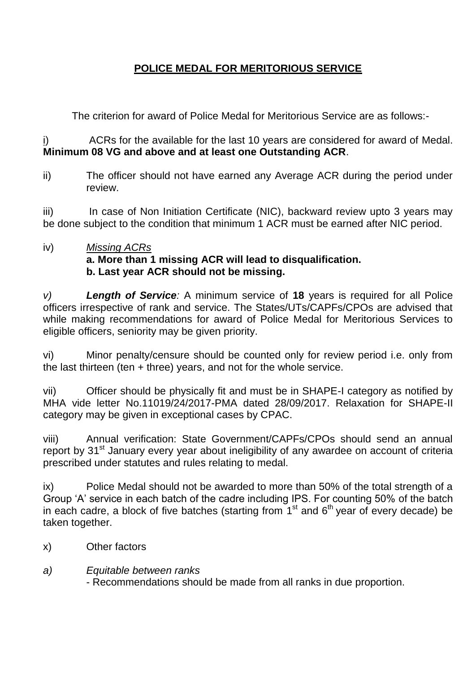# **POLICE MEDAL FOR MERITORIOUS SERVICE**

The criterion for award of Police Medal for Meritorious Service are as follows:-

i)ACRs for the available for the last 10 years are considered for award of Medal. **Minimum 08 VG and above and at least one Outstanding ACR**.

ii) The officer should not have earned any Average ACR during the period under review.

iii) In case of Non Initiation Certificate (NIC), backward review upto 3 years may be done subject to the condition that minimum 1 ACR must be earned after NIC period.

# iv) *Missing ACRs* **a. More than 1 missing ACR will lead to disqualification. b. Last year ACR should not be missing.**

*v) Length of Service:* A minimum service of **18** years is required for all Police officers irrespective of rank and service. The States/UTs/CAPFs/CPOs are advised that while making recommendations for award of Police Medal for Meritorious Services to eligible officers, seniority may be given priority.

vi) Minor penalty/censure should be counted only for review period i.e. only from the last thirteen (ten  $+$  three) years, and not for the whole service.

vii) Officer should be physically fit and must be in SHAPE-I category as notified by MHA vide letter No.11019/24/2017-PMA dated 28/09/2017. Relaxation for SHAPE-II category may be given in exceptional cases by CPAC.

viii) Annual verification: State Government/CAPFs/CPOs should send an annual report by 31<sup>st</sup> January every year about ineligibility of any awardee on account of criteria prescribed under statutes and rules relating to medal.

ix) Police Medal should not be awarded to more than 50% of the total strength of a Group 'A' service in each batch of the cadre including IPS. For counting 50% of the batch in each cadre, a block of five batches (starting from  $1<sup>st</sup>$  and  $6<sup>th</sup>$  year of every decade) be taken together.

- x) Other factors
- *a) Equitable between ranks*  - Recommendations should be made from all ranks in due proportion.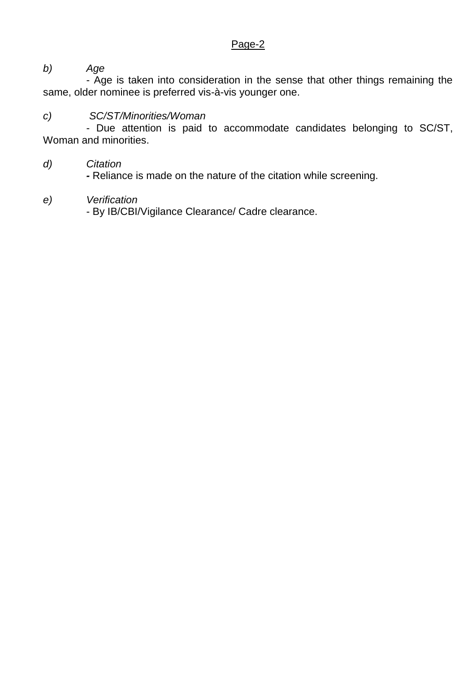# Page-2

*b) Age*

 - Age is taken into consideration in the sense that other things remaining the same, older nominee is preferred vis-à-vis younger one.

# *c) SC/ST/Minorities/Woman*

 - Due attention is paid to accommodate candidates belonging to SC/ST, Woman and minorities.

## *d) Citation*

 *-* Reliance is made on the nature of the citation while screening.

## *e) Verification*

- By IB/CBI/Vigilance Clearance/ Cadre clearance.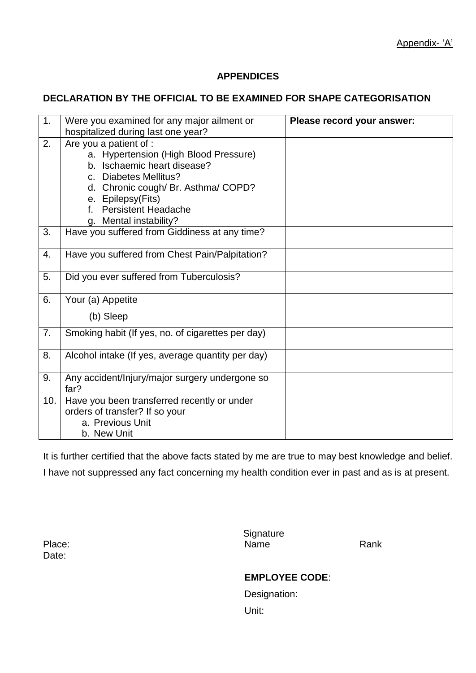## **APPENDICES**

#### **DECLARATION BY THE OFFICIAL TO BE EXAMINED FOR SHAPE CATEGORISATION**

| 1.  | Were you examined for any major ailment or<br>hospitalized during last one year?                                                                                                                                                      | Please record your answer: |
|-----|---------------------------------------------------------------------------------------------------------------------------------------------------------------------------------------------------------------------------------------|----------------------------|
| 2.  | Are you a patient of :<br>a. Hypertension (High Blood Pressure)<br>b. Ischaemic heart disease?<br>c. Diabetes Mellitus?<br>d. Chronic cough/Br. Asthma/COPD?<br>e. Epilepsy(Fits)<br>f. Persistent Headache<br>g. Mental instability? |                            |
| 3.  | Have you suffered from Giddiness at any time?                                                                                                                                                                                         |                            |
| 4.  | Have you suffered from Chest Pain/Palpitation?                                                                                                                                                                                        |                            |
| 5.  | Did you ever suffered from Tuberculosis?                                                                                                                                                                                              |                            |
| 6.  | Your (a) Appetite<br>(b) Sleep                                                                                                                                                                                                        |                            |
| 7.  | Smoking habit (If yes, no. of cigarettes per day)                                                                                                                                                                                     |                            |
| 8.  | Alcohol intake (If yes, average quantity per day)                                                                                                                                                                                     |                            |
| 9.  | Any accident/Injury/major surgery undergone so<br>far?                                                                                                                                                                                |                            |
| 10. | Have you been transferred recently or under<br>orders of transfer? If so your<br>a. Previous Unit<br>b. New Unit                                                                                                                      |                            |

It is further certified that the above facts stated by me are true to may best knowledge and belief. I have not suppressed any fact concerning my health condition ever in past and as is at present.

Date:

**Signature** Place: Name Rank

#### **EMPLOYEE CODE**:

Designation: Unit: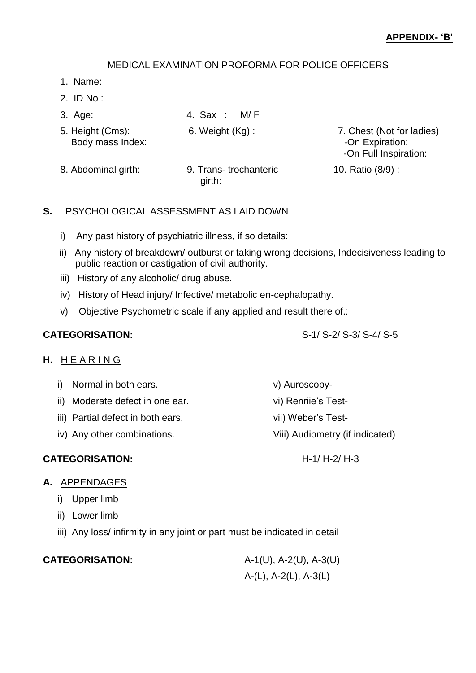## MEDICAL EXAMINATION PROFORMA FOR POLICE OFFICERS

- 1. Name:
- 2. ID No :
- 3. Age: 4. Sax : M/ F
- 5. Height (Cms): 6. Weight (Kg) : 7. Chest (Not for ladies)
	- Body mass Index:  $\blacksquare$ -On Full Inspiration:
- 8. Abdominal girth: 9. Trans- trochanteric 10. Ratio (8/9) : girth:

#### **S.** PSYCHOLOGICAL ASSESSMENT AS LAID DOWN

- i) Any past history of psychiatric illness, if so details:
- ii) Any history of breakdown/ outburst or taking wrong decisions, Indecisiveness leading to public reaction or castigation of civil authority.
- iii) History of any alcoholic/ drug abuse.
- iv) History of Head injury/ Infective/ metabolic en-cephalopathy.
- v) Objective Psychometric scale if any applied and result there of.:

#### H. HEARING

- i) Normal in both ears. v) Auroscopy-
- ii) Moderate defect in one ear. vi) Renriie's Test-
- iii) Partial defect in both ears. vii) Weber's Test-
- iv) Any other combinations. Viii) Audiometry (if indicated)

## **CATEGORISATION:** H-1/ H-2/ H-3

## **A.** APPENDAGES

- i) Upper limb
- ii) Lower limb
- iii) Any loss/ infirmity in any joint or part must be indicated in detail

| <b>CATEGORISATION:</b> |
|------------------------|
|------------------------|

**CATEGORISATION:** A-1(U), A-2(U), A-3(U) A-(L), A-2(L), A-3(L)

**CATEGORISATION:** S-1/ S-2/ S-3/ S-4/ S-5

- 
- 
-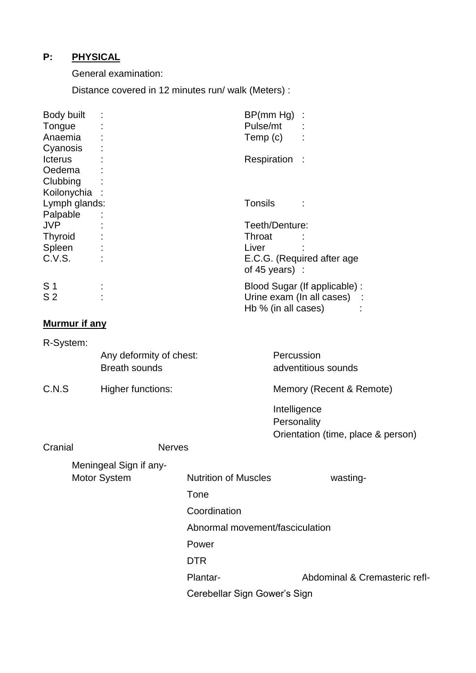# **P: PHYSICAL**

General examination:

Distance covered in 12 minutes run/ walk (Meters) :

| Body built<br>Tongue<br>Anaemia | BP(mm Hg)<br>Pulse/mt<br>Temp (c)                |                              |
|---------------------------------|--------------------------------------------------|------------------------------|
| Cyanosis<br><b>Icterus</b>      | Respiration                                      |                              |
| Oedema<br>Clubbing              |                                                  |                              |
| Koilonychia<br>Lymph glands:    | Tonsils                                          |                              |
| Palpable<br><b>JVP</b>          | Teeth/Denture:                                   |                              |
| <b>Thyroid</b><br>Spleen        | Throat<br>Liver                                  |                              |
| C.V.S.                          | of 45 years):                                    | E.C.G. (Required after age   |
| S 1<br>S <sub>2</sub>           | Urine exam (In all cases)<br>Hb % (in all cases) | Blood Sugar (If applicable): |

# **Murmur if any**

| R-System:    |                          |                                 |                                    |  |
|--------------|--------------------------|---------------------------------|------------------------------------|--|
|              | Any deformity of chest:  |                                 | Percussion                         |  |
|              | <b>Breath sounds</b>     |                                 | adventitious sounds                |  |
| C.N.S        | <b>Higher functions:</b> |                                 | Memory (Recent & Remote)           |  |
|              |                          |                                 | Intelligence                       |  |
|              |                          |                                 | Personality                        |  |
|              |                          |                                 | Orientation (time, place & person) |  |
| Cranial      | <b>Nerves</b>            |                                 |                                    |  |
|              | Meningeal Sign if any-   |                                 |                                    |  |
| Motor System |                          | <b>Nutrition of Muscles</b>     | wasting-                           |  |
|              |                          | Tone                            |                                    |  |
|              |                          | Coordination                    |                                    |  |
|              |                          | Abnormal movement/fasciculation |                                    |  |
|              |                          | Power                           |                                    |  |
|              |                          | <b>DTR</b>                      |                                    |  |
|              |                          | Plantar-                        | Abdominal & Cremasteric refl-      |  |
|              |                          | Cerebellar Sign Gower's Sign    |                                    |  |
|              |                          |                                 |                                    |  |